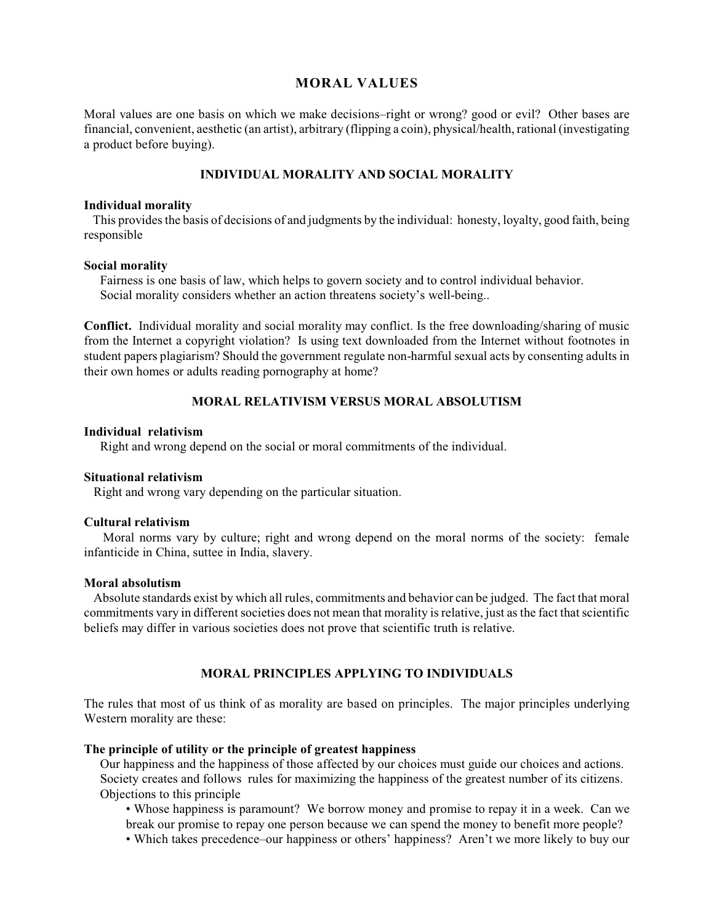## **MORAL VALUES**

Moral values are one basis on which we make decisions–right or wrong? good or evil? Other bases are financial, convenient, aesthetic (an artist), arbitrary (flipping a coin), physical/health, rational (investigating a product before buying).

# **INDIVIDUAL MORALITY AND SOCIAL MORALITY**

#### **Individual morality**

 This provides the basis of decisions of and judgments by the individual: honesty, loyalty, good faith, being responsible

#### **Social morality**

 Fairness is one basis of law, which helps to govern society and to control individual behavior. Social morality considers whether an action threatens society's well-being..

**Conflict.** Individual morality and social morality may conflict. Is the free downloading/sharing of music from the Internet a copyright violation? Is using text downloaded from the Internet without footnotes in student papers plagiarism? Should the government regulate non-harmful sexual acts by consenting adults in their own homes or adults reading pornography at home?

## **MORAL RELATIVISM VERSUS MORAL ABSOLUTISM**

#### **Individual relativism**

Right and wrong depend on the social or moral commitments of the individual.

### **Situational relativism**

Right and wrong vary depending on the particular situation.

## **Cultural relativism**

 Moral norms vary by culture; right and wrong depend on the moral norms of the society: female infanticide in China, suttee in India, slavery.

### **Moral absolutism**

 Absolute standards exist by which all rules, commitments and behavior can be judged. The fact that moral commitments vary in different societies does not mean that morality is relative, just as the fact that scientific beliefs may differ in various societies does not prove that scientific truth is relative.

# **MORAL PRINCIPLES APPLYING TO INDIVIDUALS**

The rules that most of us think of as morality are based on principles. The major principles underlying Western morality are these:

## **The principle of utility or the principle of greatest happiness**

 Our happiness and the happiness of those affected by our choices must guide our choices and actions. Society creates and follows rules for maximizing the happiness of the greatest number of its citizens. Objections to this principle

• Whose happiness is paramount? We borrow money and promise to repay it in a week. Can we break our promise to repay one person because we can spend the money to benefit more people?

• Which takes precedence–our happiness or others' happiness? Aren't we more likely to buy our